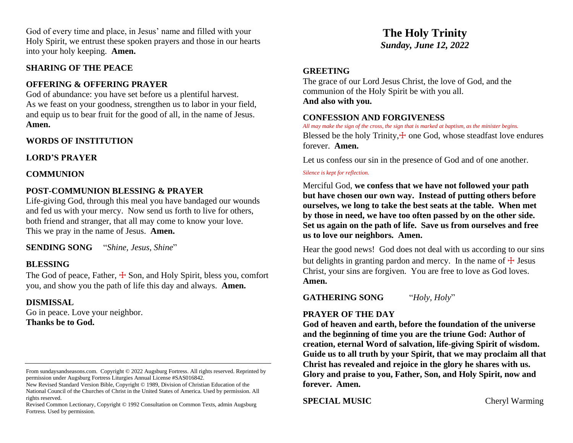God of every time and place, in Jesus' name and filled with your Holy Spirit, we entrust these spoken prayers and those in our hearts into your holy keeping. **Amen.**

#### **SHARING OF THE PEACE**

#### **OFFERING & OFFERING PRAYER**

God of abundance: you have set before us a plentiful harvest. As we feast on your goodness, strengthen us to labor in your field, and equip us to bear fruit for the good of all, in the name of Jesus. **Amen.**

## **WORDS OF INSTITUTION**

**LORD'S PRAYER**

#### **COMMUNION**

## **POST-COMMUNION BLESSING & PRAYER**

Life-giving God, through this meal you have bandaged our wounds and fed us with your mercy. Now send us forth to live for others, both friend and stranger, that all may come to know your love. This we pray in the name of Jesus. **Amen.**

**SENDING SONG** "*Shine, Jesus, Shine*"

## **BLESSING**

The God of peace, Father,  $\pm$  Son, and Holy Spirit, bless you, comfort you, and show you the path of life this day and always. **Amen.**

## **DISMISSAL**

Go in peace. Love your neighbor. **Thanks be to God.**

# **The Holy Trinity** *Sunday, June 12, 2022*

#### **GREETING**

The grace of our Lord Jesus Christ, the love of God, and the communion of the Holy Spirit be with you all. **And also with you.**

#### **CONFESSION AND FORGIVENESS**

*All may make the sign of the cross, the sign that is marked at baptism, as the minister begins.* Blessed be the holy Trinity, $\pm$  one God, whose steadfast love endures forever. **Amen.**

Let us confess our sin in the presence of God and of one another.

#### *Silence is kept for reflection.*

Merciful God, **we confess that we have not followed your path but have chosen our own way. Instead of putting others before ourselves, we long to take the best seats at the table. When met by those in need, we have too often passed by on the other side. Set us again on the path of life. Save us from ourselves and free us to love our neighbors. Amen.**

Hear the good news! God does not deal with us according to our sins but delights in granting pardon and mercy. In the name of  $\pm$  Jesus Christ, your sins are forgiven. You are free to love as God loves. **Amen.**

**GATHERING SONG** "*Holy, Holy*"

## **PRAYER OF THE DAY**

**God of heaven and earth, before the foundation of the universe and the beginning of time you are the triune God: Author of creation, eternal Word of salvation, life-giving Spirit of wisdom. Guide us to all truth by your Spirit, that we may proclaim all that Christ has revealed and rejoice in the glory he shares with us. Glory and praise to you, Father, Son, and Holy Spirit, now and forever. Amen.**

**SPECIAL MUSIC** Cheryl Warming

From sundaysandseasons.com. Copyright © 2022 Augsburg Fortress. All rights reserved. Reprinted by permission under Augsburg Fortress Liturgies Annual License #SAS016842.

New Revised Standard Version Bible, Copyright © 1989, Division of Christian Education of the National Council of the Churches of Christ in the United States of America. Used by permission. All rights reserved.

Revised Common Lectionary, Copyright © 1992 Consultation on Common Texts, admin Augsburg Fortress. Used by permission.